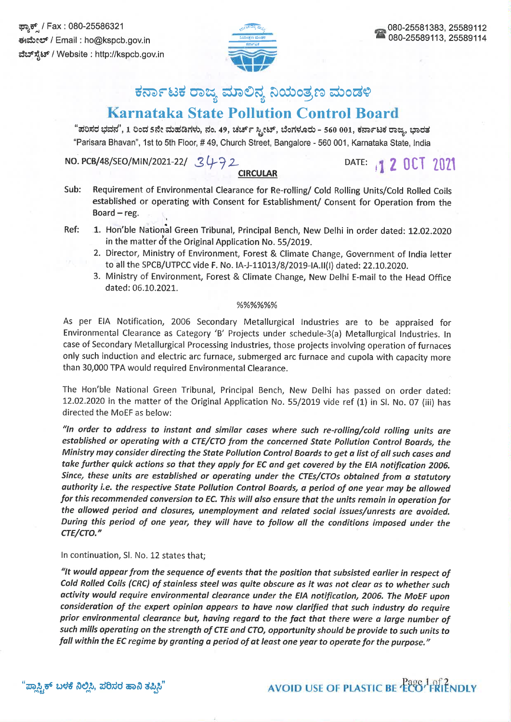

# ಕರ್ನಾಟಕ ರಾಜ್ಯ ಮಾಲಿನ್ಯ ನಿಯಂತ್ರಣ ಮಂಡಳಿ

# **Karnataka State Pollution Control Board**

"ಪರಿಸರ ಭವನ", 1 ರಿಂದ 5ನೇ ಮಹಡಿಗಳು, ನಂ. 49, ಚರ್ಚ್ ಸ್ಟೀಟ್, ಬೆಂಗಳೂರು - 560 001, ಕರ್ನಾಟಕ ರಾಜ್ಯ, ಭಾರತ "Parisara Bhavan", 1st to 5th Floor, #49, Church Street, Bangalore - 560 001, Karnataka State, India

NO. PCB/48/SEO/MIN/2021-22/ 3472

### **CIRCULAR**

- DATE: 1 2 0CT 2021
- Sub: Requirement of Environmental Clearance for Re-rolling/ Cold Rolling Units/Cold Rolled Coils established or operating with Consent for Establishment/ Consent for Operation from the Board  $-$  reg.
- Ref: 1. Hon'ble National Green Tribunal, Principal Bench, New Delhi in order dated: 12.02.2020 in the matter of the Original Application No. 55/2019.
	- 2. Director, Ministry of Environment, Forest & Climate Change, Government of India letter to all the SPCB/UTPCC vide F. No. IA-J-11013/8/2019-IA.II(I) dated: 22.10.2020.
	- 3. Ministry of Environment, Forest & Climate Change, New Delhi E-mail to the Head Office dated: 06.10.2021.

#### %%%%%%

As per EIA Notification, 2006 Secondary Metallurgical Industries are to be appraised for Environmental Clearance as Category 'B' Projects under schedule-3(a) Metallurgical Industries. In case of Secondary Metallurgical Processing Industries, those projects involving operation of furnaces only such induction and electric arc furnace, submerged arc furnace and cupola with capacity more than 30,000 TPA would required Environmental Clearance.

The Hon'ble National Green Tribunal, Principal Bench, New Delhi has passed on order dated: 12.02.2020 in the matter of the Original Application No. 55/2019 vide ref (1) in Sl. No. 07 (iii) has directed the MoEF as below:

"In order to address to instant and similar cases where such re-rolling/cold rolling units are established or operating with a CTE/CTO from the concerned State Pollution Control Boards, the Ministry may consider directing the State Pollution Control Boards to get a list of all such cases and take further quick actions so that they apply for EC and get covered by the EIA notification 2006. Since, these units are established or operating under the CTEs/CTOs obtained from a statutory authority i.e. the respective State Pollution Control Boards, a period of one year may be allowed for this recommended conversion to EC. This will also ensure that the units remain in operation for the allowed period and closures, unemployment and related social issues/unrests are avoided. During this period of one year, they will have to follow all the conditions imposed under the CTE/CTO."

### In continuation, SI. No. 12 states that;

"It would appear from the sequence of events that the position that subsisted earlier in respect of Cold Rolled Coils (CRC) of stainless steel was quite obscure as it was not clear as to whether such activity would require environmental clearance under the EIA notification, 2006. The MoEF upon consideration of the expert opinion appears to have now clarified that such industry do require prior environmental clearance but, having regard to the fact that there were a large number of such mills operating on the strength of CTE and CTO, opportunity should be provide to such units to fall within the EC regime by granting a period of at least one year to operate for the purpose."

# **AVOID USE OF PLASTIC BE ECO<sup>1</sup>FRIENDLY**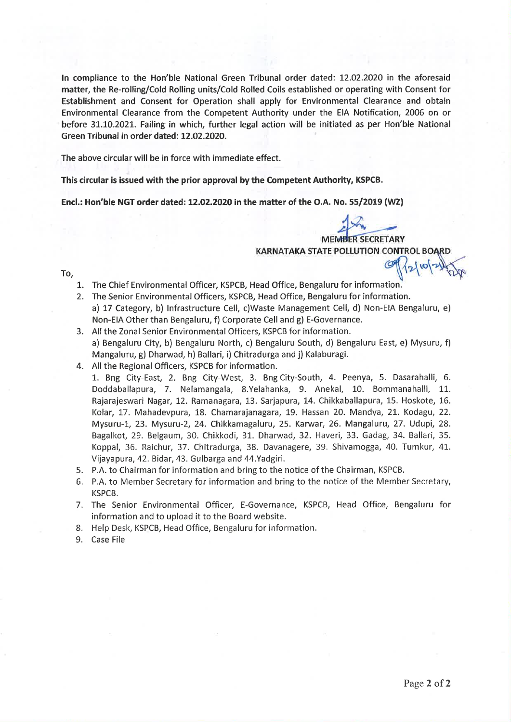In compliance to the Hon'ble National Green Tribunal order dated: 12.02.2020 in the aforesaid matter, the Re-rolling/Cold Rolling units/Cold Rolled Coils established or operating with Consent for Establishment and Consent for Operation shall apply for Environmental Clearance and obtain Environmental Clearance from the Competent Authority under the EIA Notification, 2006 on or before 31.10.2021. Failing in which, further legal action will be initiated as per Hon'ble National Green Tribunal in order dated: 12.02.2020.

The above circular will be in force with immediate effect.

This circular is issued with the prior approval by the Competent Authority, KSPCB.

Encl.: Hon'ble NGT order dated: 12.02.2020 in the matter of the O.A. No. 55/2019 (WZ)

**MEMBER SECRETARY** 

 $210$ 

**KARNATAKA STATE POLLUTION CONTROL BOARD** 

To.

- 1. The Chief Environmental Officer, KSPCB, Head Office, Bengaluru for information.
- 2. The Senior Environmental Officers, KSPCB, Head Office, Bengaluru for information. a) 17 Category, b) Infrastructure Cell, c)Waste Management Cell, d) Non-EIA Bengaluru, e) Non-EIA Other than Bengaluru, f) Corporate Cell and g) E-Governance.
- 3. All the Zonal Senior Environmental Officers, KSPCB for information. a) Bengaluru City, b) Bengaluru North, c) Bengaluru South, d) Bengaluru East, e) Mysuru, f) Mangaluru, g) Dharwad, h) Ballari, i) Chitradurga and i) Kalaburagi.
- 4. All the Regional Officers, KSPCB for information.

1. Bng City-East, 2. Bng City-West, 3. Bng City-South, 4. Peenya, 5. Dasarahalli, 6. Doddaballapura, 7. Nelamangala, 8.Yelahanka, 9. Anekal, 10. Bommanahalli, 11. Rajarajeswari Nagar, 12. Ramanagara, 13. Sarjapura, 14. Chikkaballapura, 15. Hoskote, 16. Kolar, 17. Mahadevpura, 18. Chamarajanagara, 19. Hassan 20. Mandya, 21. Kodagu, 22. Mysuru-1, 23. Mysuru-2, 24. Chikkamagaluru, 25. Karwar, 26. Mangaluru, 27. Udupi, 28. Bagalkot, 29. Belgaum, 30. Chikkodi, 31. Dharwad, 32. Haveri, 33. Gadag, 34. Ballari, 35. Koppal, 36. Raichur, 37. Chitradurga, 38. Davanagere, 39. Shivamogga, 40. Tumkur, 41. Vijayapura, 42. Bidar, 43. Gulbarga and 44. Yadgiri.

- 5. P.A. to Chairman for information and bring to the notice of the Chairman, KSPCB.
- 6. P.A. to Member Secretary for information and bring to the notice of the Member Secretary, KSPCB.
- 7. The Senior Environmental Officer, E-Governance, KSPCB, Head Office, Bengaluru for information and to upload it to the Board website.
- 8. Help Desk, KSPCB, Head Office, Bengaluru for information.
- 9. Case File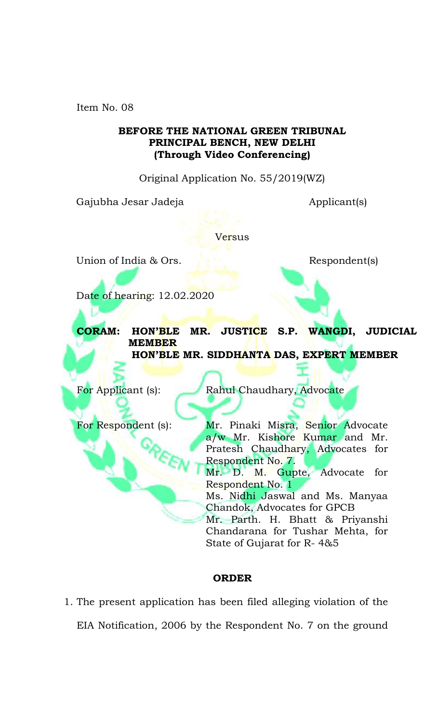Item No. 08

## **BEFORE THE NATIONAL GREEN TRIBUNAL PRINCIPAL BENCH, NEW DELHI (Through Video Conferencing)**

Original Application No. 55/2019(WZ)

Gajubha Jesar Jadeja (Gajubha Jesar Jadeja Applicant(s)

**Versus** 

Union of India & Ors. Respondents

Date of hearing: 12.02.2020

**CORAM: HON'BLE MR. JUSTICE S.P. WANGDI, JUDICIAL MEMBER HON'BLE MR. SIDDHANTA DAS, EXPERT MEMBER**

For Applicant (s): Rahul Chaudhary, Advocate

For Respondent (s): Mr. Pinaki Misra, Senior Advocate a/w Mr. Kishore Kumar and Mr. Pratesh Chaudhary, Advocates for Respondent No. 7.

> Mr. D. M. Gupte, Advocate for Respondent No. 1

> Ms. Nidhi Jaswal and Ms. Manyaa Chandok, Advocates for GPCB

> Mr. Parth. H. Bhatt & Priyanshi Chandarana for Tushar Mehta, for State of Gujarat for R- 4&5

### **ORDER**

1. The present application has been filed alleging violation of the EIA Notification, 2006 by the Respondent No. 7 on the ground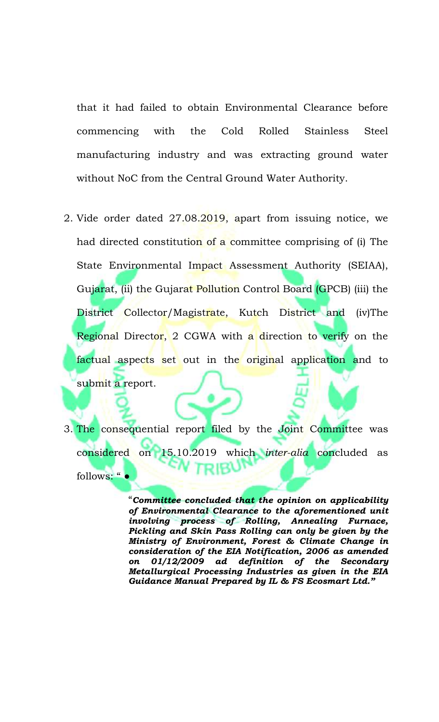that it had failed to obtain Environmental Clearance before commencing with the Cold Rolled Stainless Steel manufacturing industry and was extracting ground water without NoC from the Central Ground Water Authority.

- 2. Vide order dated 27.08.2019, apart from issuing notice, we had directed constitution of a committee comprising of (i) The State Environmental Impact Assessment Authority (SEIAA), Gujarat, (ii) the Gujarat Pollution Control Board (GPCB) (iii) the District Collector/Magistrate, Kutch District and (iv)The Regional Director, 2 CGWA with a direction to verify on the factual aspects set out in the original application and to submit a report.
- 3. The consequential report filed by the Joint Committee was considered on 15.10.2019 which *inter-alia* concluded as follows: "

"*Committee concluded that the opinion on applicability of Environmental Clearance to the aforementioned unit involving process of Rolling, Annealing Furnace, Pickling and Skin Pass Rolling can only be given by the Ministry of Environment, Forest & Climate Change in consideration of the EIA Notification, 2006 as amended on 01/12/2009 ad definition of the Secondary Metallurgical Processing Industries as given in the EIA Guidance Manual Prepared by IL & FS Ecosmart Ltd."*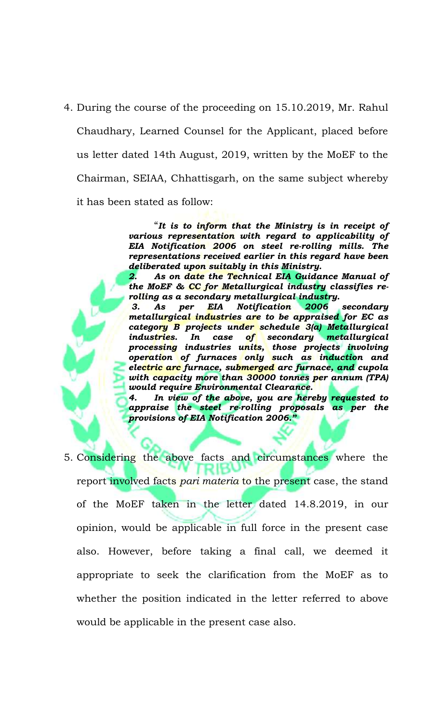4. During the course of the proceeding on 15.10.2019, Mr. Rahul Chaudhary, Learned Counsel for the Applicant, placed before us letter dated 14th August, 2019, written by the MoEF to the Chairman, SEIAA, Chhattisgarh, on the same subject whereby it has been stated as follow:

> "*It is to inform that the Ministry is in receipt of various representation with regard to applicability of EIA Notification 2006 on steel re-rolling mills. The representations received earlier in this regard have been deliberated upon suitably in this Ministry.*

> *2. As on date the Technical EIA Guidance Manual of the MoEF & CC for Metallurgical industry classifies rerolling as a secondary metallurgical industry.*

> *3. As per EIA Notification 2006 secondary metallurgical industries are to be appraised for EC as category B projects under schedule 3(a) Metallurgical industries. In case of secondary metallurgical processing industries units, those projects involving operation of furnaces only such as induction and electric arc furnace, submerged arc furnace, and cupola with capacity more than 30000 tonnes per annum (TPA) would require Environmental Clearance.*

> *4. In view of the above, you are hereby requested to appraise the steel re-rolling proposals as per the provisions of EIA Notification 2006."*

5. Considering the above facts and circumstances where the report involved facts *pari materia* to the present case, the stand of the MoEF taken in the letter dated 14.8.2019, in our opinion, would be applicable in full force in the present case also. However, before taking a final call, we deemed it appropriate to seek the clarification from the MoEF as to whether the position indicated in the letter referred to above would be applicable in the present case also.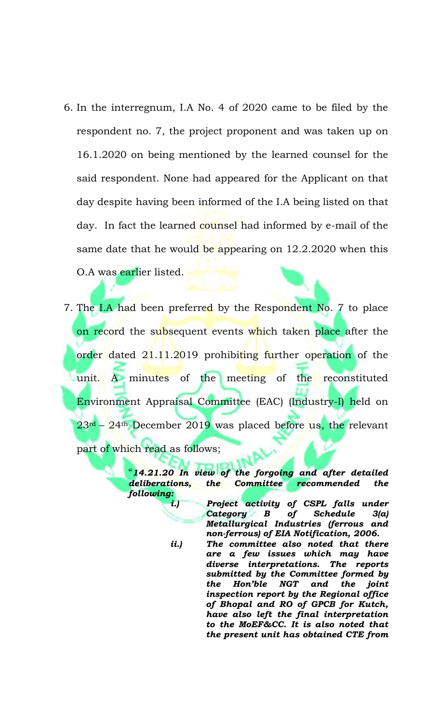- 6. In the interregnum, I.A No. 4 of 2020 came to be filed by the respondent no. 7, the project proponent and was taken up on 16.1.2020 on being mentioned by the learned counsel for the said respondent. None had appeared for the Applicant on that day despite having been informed of the I.A being listed on that day. In fact the learned counsel had informed by e-mail of the same date that he would be appearing on 12.2.2020 when this O.A was earlier listed.
- 7. The I.A had been preferred by the Respondent No. 7 to place on record the subsequent events which taken place after the order dated 21.11.2019 prohibiting further operation of the unit. A minutes of the meeting of the reconstituted Environment Appraisal Committee (EAC) (Industry-I) held on 23rd – 24th December 2019 was placed before us, the relevant part of which read as follows;

"*14.21.20 In view of the forgoing and after detailed deliberations, the Committee recommended the following:* 

> *i.) Project activity of CSPL falls under Category B of Schedule 3(a) Metallurgical Industries (ferrous and non-ferrous) of EIA Notification, 2006.*

> *ii.) The committee also noted that there are a few issues which may have diverse interpretations. The reports submitted by the Committee formed by the Hon'ble NGT and the joint inspection report by the Regional office of Bhopal and RO of GPCB for Kutch, have also left the final interpretation to the MoEF&CC. It is also noted that the present unit has obtained CTE from*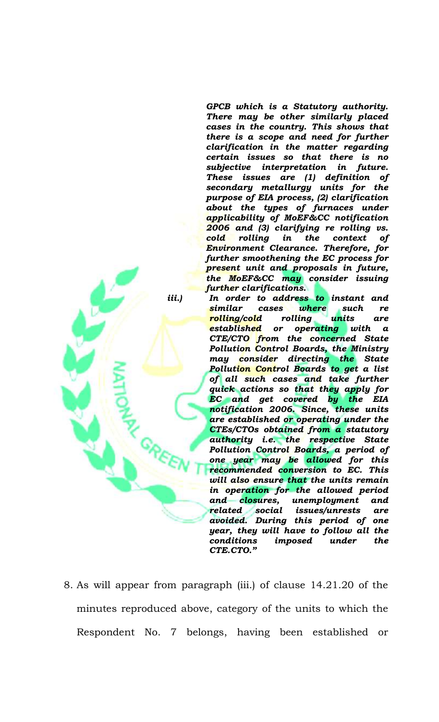*GPCB which is a Statutory authority. There may be other similarly placed cases in the country. This shows that there is a scope and need for further clarification in the matter regarding certain issues so that there is no subjective interpretation in future. These issues are (1) definition of secondary metallurgy units for the purpose of EIA process, (2) clarification about the types of furnaces under applicability of MoEF&CC notification 2006 and (3) clarifying re rolling vs. cold rolling in the context of Environment Clearance. Therefore, for further smoothening the EC process for present unit and proposals in future, the MoEF&CC may consider issuing further clarifications.*

*iii.) In order to address to instant and similar cases where such re rolling/cold rolling units are established or operating with a CTE/CTO from the concerned State Pollution Control Boards, the Ministry may consider directing the State Pollution Control Boards to get a list of all such cases and take further quick actions so that they apply for EC and get covered by the EIA notification 2006. Since, these units are established or operating under the CTEs/CTOs obtained from a statutory authority i.e. the respective State Pollution Control Boards, a period of one year may be allowed for this recommended conversion to EC. This will also ensure that the units remain in operation for the allowed period and closures, unemployment and related social issues/unrests are avoided. During this period of one year, they will have to follow all the conditions imposed under the CTE.CTO."*

8. As will appear from paragraph (iii.) of clause 14.21.20 of the minutes reproduced above, category of the units to which the Respondent No. 7 belongs, having been established or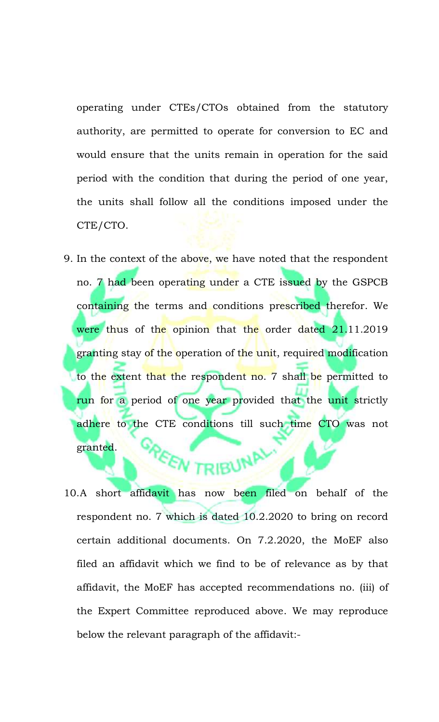operating under CTEs/CTOs obtained from the statutory authority, are permitted to operate for conversion to EC and would ensure that the units remain in operation for the said period with the condition that during the period of one year, the units shall follow all the conditions imposed under the CTE/CTO.

9. In the context of the above, we have noted that the respondent no. 7 had been operating under a CTE issued by the GSPCB containing the terms and conditions prescribed therefor. We were thus of the opinion that the order dated 21.11.2019 granting stay of the operation of the unit, required modification to the extent that the respondent no. 7 shall be permitted to run for a period of one year provided that the unit strictly adhere to the CTE conditions till such time CTO was not granted. **PEEN TRIBUNAL** 

10.A short affidavit has now been filed on behalf of the respondent no. 7 which is dated 10.2.2020 to bring on record certain additional documents. On 7.2.2020, the MoEF also filed an affidavit which we find to be of relevance as by that affidavit, the MoEF has accepted recommendations no. (iii) of the Expert Committee reproduced above. We may reproduce below the relevant paragraph of the affidavit:-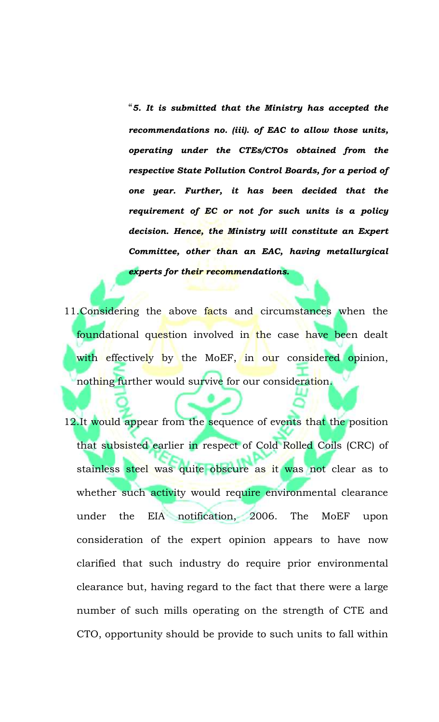"*5. It is submitted that the Ministry has accepted the recommendations no. (iii). of EAC to allow those units, operating under the CTEs/CTOs obtained from the respective State Pollution Control Boards, for a period of one year. Further, it has been decided that the requirement of EC or not for such units is a policy decision. Hence, the Ministry will constitute an Expert Committee, other than an EAC, having metallurgical experts for their recommendations.*

- 11. Considering the above facts and circumstances when the foundational question involved in the case have been dealt with effectively by the MoEF, in our considered opinion, nothing further would survive for our consideration.
- 12.It would appear from the sequence of events that the position that subsisted earlier in respect of Cold Rolled Coils (CRC) of stainless steel was quite obscure as it was not clear as to whether such activity would require environmental clearance under the EIA notification, 2006. The MoEF upon consideration of the expert opinion appears to have now clarified that such industry do require prior environmental clearance but, having regard to the fact that there were a large number of such mills operating on the strength of CTE and CTO, opportunity should be provide to such units to fall within